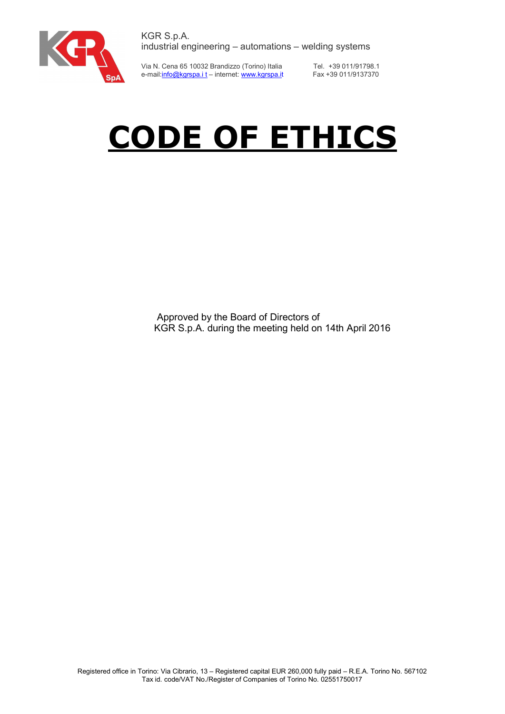

Via N. Cena 65 10032 Brandizzo (Torino) Italia e-mail: <u>info@kgrspa.it</u> – internet: www.kgrspa.it

Tel. +39 011/91798.1 Fax +39 011/9137370

# CODE OF ETHICS

Approved by the Board of Directors of KGR S.p.A. during the meeting held on 14th April 2016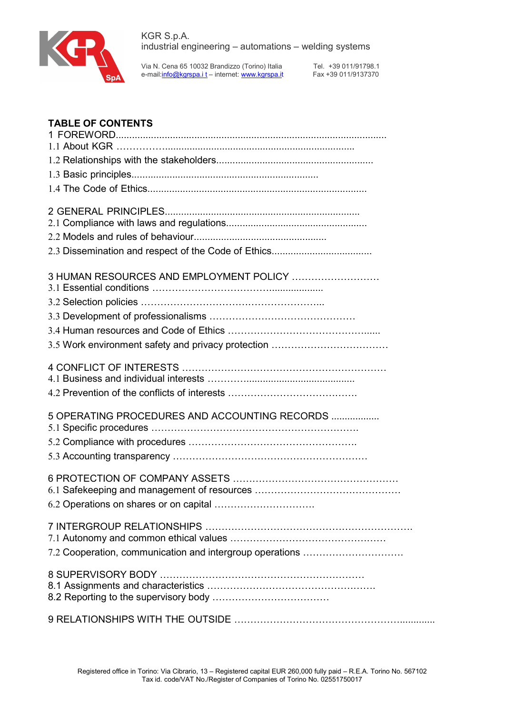

Tel. +39 011/91798.1 Fax +39 011/9137370

# TABLE OF CONTENTS

| 3 HUMAN RESOURCES AND EMPLOYMENT POLICY                  |
|----------------------------------------------------------|
|                                                          |
|                                                          |
|                                                          |
|                                                          |
|                                                          |
|                                                          |
| 5 OPERATING PROCEDURES AND ACCOUNTING RECORDS            |
|                                                          |
|                                                          |
|                                                          |
|                                                          |
|                                                          |
| 7.2 Cooperation, communication and intergroup operations |
|                                                          |
|                                                          |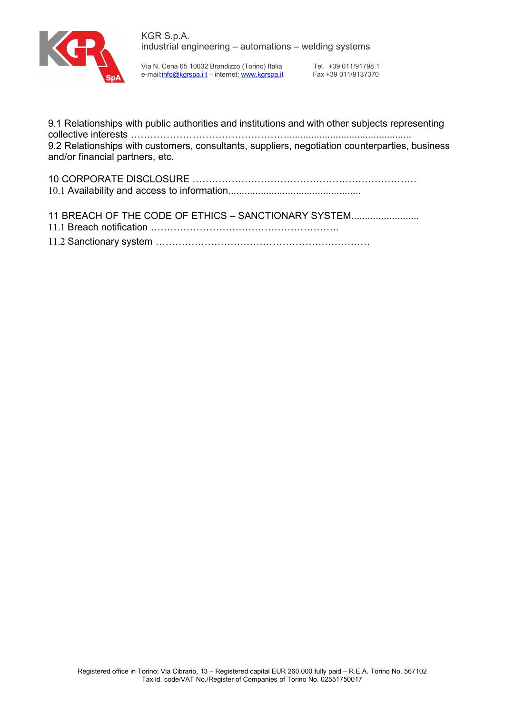

Tel. +39 011/91798.1 Fax +39 011/9137370

9.1 Relationships with public authorities and institutions and with other subjects representing collective interests ………………………………………….............................................. 9.2 Relationships with customers, consultants, suppliers, negotiation counterparties, business and/or financial partners, etc.

11 BREACH OF THE CODE OF ETHICS - SANCTIONARY SYSTEM........................ 11.1 Breach notification …………………………………………………. 11.2 Sanctionary system …………………………………………………………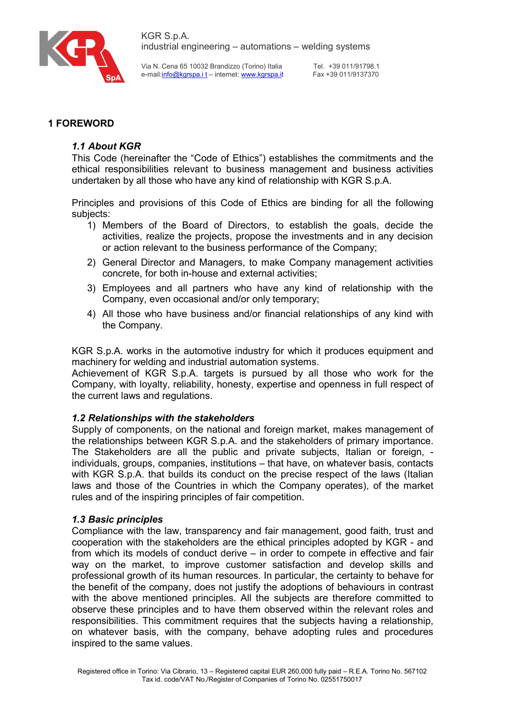

Tel. +39 011/91798.1 Fax +39 011/9137370

# 1 FOREWORD

## 1.1 About KGR

This Code (hereinafter the "Code of Ethics") establishes the commitments and the ethical responsibilities relevant to business management and business activities undertaken by all those who have any kind of relationship with KGR S.p.A.

Principles and provisions of this Code of Ethics are binding for all the following subjects:

- 1) Members of the Board of Directors, to establish the goals, decide the activities, realize the projects, propose the investments and in any decision or action relevant to the business performance of the Company;
- 2) General Director and Managers, to make Company management activities concrete, for both in-house and external activities;
- 3) Employees and all partners who have any kind of relationship with the Company, even occasional and/or only temporary;
- 4) All those who have business and/or financial relationships of any kind with the Company.

KGR S.p.A. works in the automotive industry for which it produces equipment and machinery for welding and industrial automation systems.

Achievement of KGR S.p.A. targets is pursued by all those who work for the Company, with loyalty, reliability, honesty, expertise and openness in full respect of the current laws and regulations.

## 1.2 Relationships with the stakeholders

Supply of components, on the national and foreign market, makes management of the relationships between KGR S.p.A. and the stakeholders of primary importance. The Stakeholders are all the public and private subjects, Italian or foreign, individuals, groups, companies, institutions – that have, on whatever basis, contacts with KGR S.p.A. that builds its conduct on the precise respect of the laws (Italian laws and those of the Countries in which the Company operates), of the market rules and of the inspiring principles of fair competition.

#### 1.3 Basic principles

Compliance with the law, transparency and fair management, good faith, trust and cooperation with the stakeholders are the ethical principles adopted by KGR - and from which its models of conduct derive – in order to compete in effective and fair way on the market, to improve customer satisfaction and develop skills and professional growth of its human resources. In particular, the certainty to behave for the benefit of the company, does not justify the adoptions of behaviours in contrast with the above mentioned principles. All the subjects are therefore committed to observe these principles and to have them observed within the relevant roles and responsibilities. This commitment requires that the subjects having a relationship, on whatever basis, with the company, behave adopting rules and procedures inspired to the same values.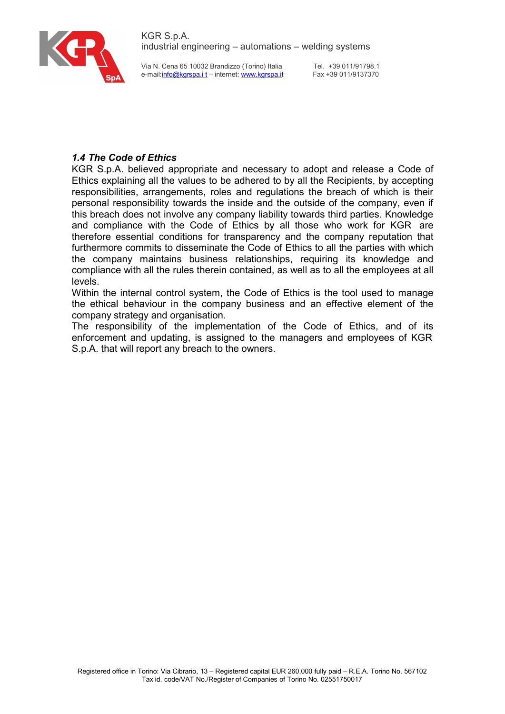

Via N. Cena 65 10032 Brandizzo (Torino) Italia e-mail:info@kgrspa.i t – internet: www.kgrspa.it

Tel. +39 011/91798.1 Fax +39 011/9137370

# 1.4 The Code of Ethics

KGR S.p.A. believed appropriate and necessary to adopt and release a Code of Ethics explaining all the values to be adhered to by all the Recipients, by accepting responsibilities, arrangements, roles and regulations the breach of which is their personal responsibility towards the inside and the outside of the company, even if this breach does not involve any company liability towards third parties. Knowledge and compliance with the Code of Ethics by all those who work for KGR are therefore essential conditions for transparency and the company reputation that furthermore commits to disseminate the Code of Ethics to all the parties with which the company maintains business relationships, requiring its knowledge and compliance with all the rules therein contained, as well as to all the employees at all levels.

Within the internal control system, the Code of Ethics is the tool used to manage the ethical behaviour in the company business and an effective element of the company strategy and organisation.

The responsibility of the implementation of the Code of Ethics, and of its enforcement and updating, is assigned to the managers and employees of KGR S.p.A. that will report any breach to the owners.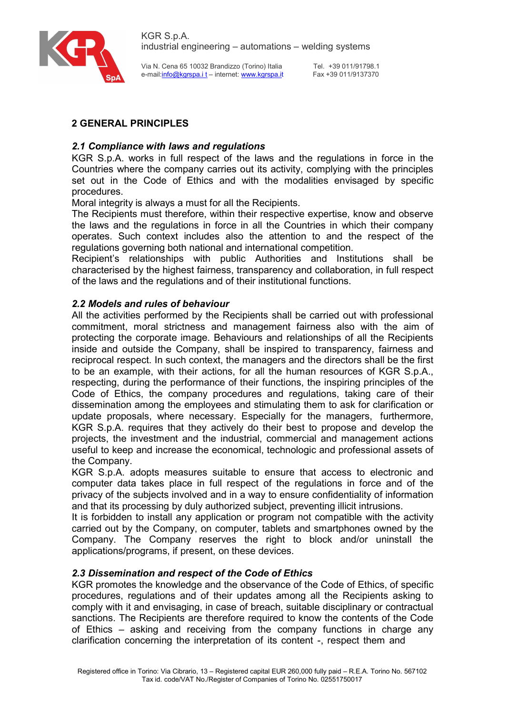

Via N. Cena 65 10032 Brandizzo (Torino) Italia e-mail:info@kgrspa.i t – internet: www.kgrspa.it

Tel. +39 011/91798.1 Fax +39 011/9137370

# 2 GENERAL PRINCIPLES

## 2.1 Compliance with laws and regulations

KGR S.p.A. works in full respect of the laws and the regulations in force in the Countries where the company carries out its activity, complying with the principles set out in the Code of Ethics and with the modalities envisaged by specific procedures.

Moral integrity is always a must for all the Recipients.

The Recipients must therefore, within their respective expertise, know and observe the laws and the regulations in force in all the Countries in which their company operates. Such context includes also the attention to and the respect of the regulations governing both national and international competition.

Recipient's relationships with public Authorities and Institutions shall be characterised by the highest fairness, transparency and collaboration, in full respect of the laws and the regulations and of their institutional functions.

## 2.2 Models and rules of behaviour

All the activities performed by the Recipients shall be carried out with professional commitment, moral strictness and management fairness also with the aim of protecting the corporate image. Behaviours and relationships of all the Recipients inside and outside the Company, shall be inspired to transparency, fairness and reciprocal respect. In such context, the managers and the directors shall be the first to be an example, with their actions, for all the human resources of KGR S.p.A., respecting, during the performance of their functions, the inspiring principles of the Code of Ethics, the company procedures and regulations, taking care of their dissemination among the employees and stimulating them to ask for clarification or update proposals, where necessary. Especially for the managers, furthermore, KGR S.p.A. requires that they actively do their best to propose and develop the projects, the investment and the industrial, commercial and management actions useful to keep and increase the economical, technologic and professional assets of the Company.

KGR S.p.A. adopts measures suitable to ensure that access to electronic and computer data takes place in full respect of the regulations in force and of the privacy of the subjects involved and in a way to ensure confidentiality of information and that its processing by duly authorized subject, preventing illicit intrusions.

It is forbidden to install any application or program not compatible with the activity carried out by the Company, on computer, tablets and smartphones owned by the Company. The Company reserves the right to block and/or uninstall the applications/programs, if present, on these devices.

## 2.3 Dissemination and respect of the Code of Ethics

KGR promotes the knowledge and the observance of the Code of Ethics, of specific procedures, regulations and of their updates among all the Recipients asking to comply with it and envisaging, in case of breach, suitable disciplinary or contractual sanctions. The Recipients are therefore required to know the contents of the Code of Ethics – asking and receiving from the company functions in charge any clarification concerning the interpretation of its content -, respect them and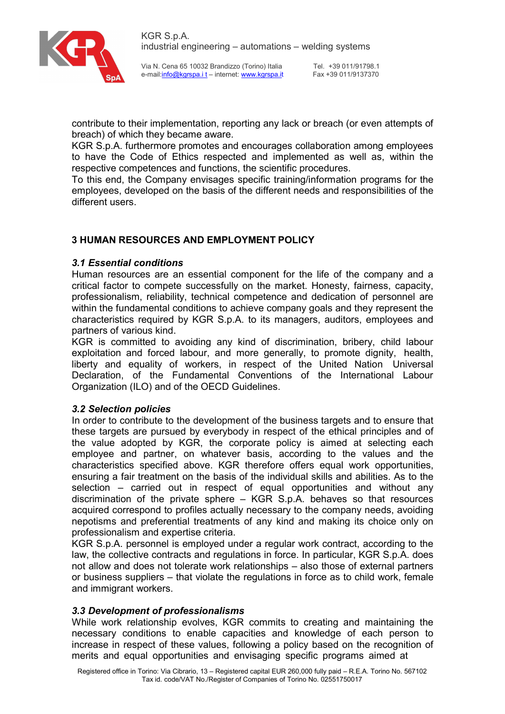

Tel. +39 011/91798.1 Fax +39 011/9137370

contribute to their implementation, reporting any lack or breach (or even attempts of breach) of which they became aware.

KGR S.p.A. furthermore promotes and encourages collaboration among employees to have the Code of Ethics respected and implemented as well as, within the respective competences and functions, the scientific procedures.

To this end, the Company envisages specific training/information programs for the employees, developed on the basis of the different needs and responsibilities of the different users.

# 3 HUMAN RESOURCES AND EMPLOYMENT POLICY

## 3.1 Essential conditions

Human resources are an essential component for the life of the company and a critical factor to compete successfully on the market. Honesty, fairness, capacity, professionalism, reliability, technical competence and dedication of personnel are within the fundamental conditions to achieve company goals and they represent the characteristics required by KGR S.p.A. to its managers, auditors, employees and partners of various kind.

KGR is committed to avoiding any kind of discrimination, bribery, child labour exploitation and forced labour, and more generally, to promote dignity, health, liberty and equality of workers, in respect of the United Nation Universal Declaration, of the Fundamental Conventions of the International Labour Organization (ILO) and of the OECD Guidelines.

#### 3.2 Selection policies

In order to contribute to the development of the business targets and to ensure that these targets are pursued by everybody in respect of the ethical principles and of the value adopted by KGR, the corporate policy is aimed at selecting each employee and partner, on whatever basis, according to the values and the characteristics specified above. KGR therefore offers equal work opportunities, ensuring a fair treatment on the basis of the individual skills and abilities. As to the selection – carried out in respect of equal opportunities and without any discrimination of the private sphere – KGR S.p.A. behaves so that resources acquired correspond to profiles actually necessary to the company needs, avoiding nepotisms and preferential treatments of any kind and making its choice only on professionalism and expertise criteria.

KGR S.p.A. personnel is employed under a regular work contract, according to the law, the collective contracts and regulations in force. In particular, KGR S.p.A. does not allow and does not tolerate work relationships – also those of external partners or business suppliers – that violate the regulations in force as to child work, female and immigrant workers.

#### 3.3 Development of professionalisms

While work relationship evolves, KGR commits to creating and maintaining the necessary conditions to enable capacities and knowledge of each person to increase in respect of these values, following a policy based on the recognition of merits and equal opportunities and envisaging specific programs aimed at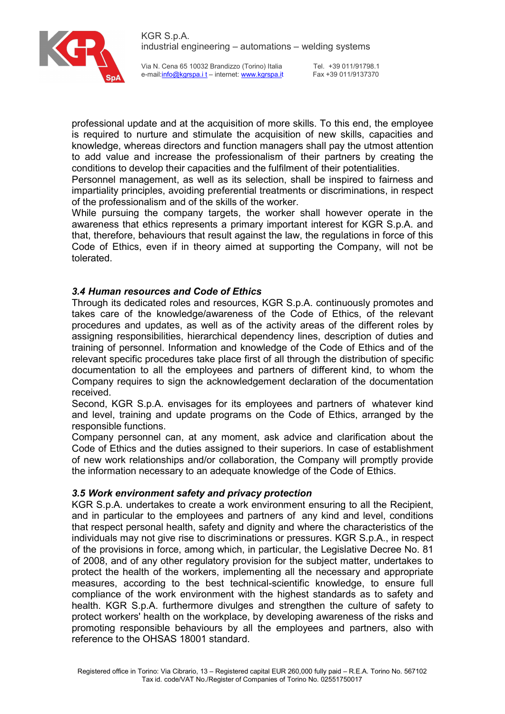

Tel. +39 011/91798.1 Fax +39 011/9137370

professional update and at the acquisition of more skills. To this end, the employee is required to nurture and stimulate the acquisition of new skills, capacities and knowledge, whereas directors and function managers shall pay the utmost attention to add value and increase the professionalism of their partners by creating the conditions to develop their capacities and the fulfilment of their potentialities.

Personnel management, as well as its selection, shall be inspired to fairness and impartiality principles, avoiding preferential treatments or discriminations, in respect of the professionalism and of the skills of the worker.

While pursuing the company targets, the worker shall however operate in the awareness that ethics represents a primary important interest for KGR S.p.A. and that, therefore, behaviours that result against the law, the regulations in force of this Code of Ethics, even if in theory aimed at supporting the Company, will not be tolerated.

## 3.4 Human resources and Code of Ethics

Through its dedicated roles and resources, KGR S.p.A. continuously promotes and takes care of the knowledge/awareness of the Code of Ethics, of the relevant procedures and updates, as well as of the activity areas of the different roles by assigning responsibilities, hierarchical dependency lines, description of duties and training of personnel. Information and knowledge of the Code of Ethics and of the relevant specific procedures take place first of all through the distribution of specific documentation to all the employees and partners of different kind, to whom the Company requires to sign the acknowledgement declaration of the documentation received.

Second, KGR S.p.A. envisages for its employees and partners of whatever kind and level, training and update programs on the Code of Ethics, arranged by the responsible functions.

Company personnel can, at any moment, ask advice and clarification about the Code of Ethics and the duties assigned to their superiors. In case of establishment of new work relationships and/or collaboration, the Company will promptly provide the information necessary to an adequate knowledge of the Code of Ethics.

#### 3.5 Work environment safety and privacy protection

KGR S.p.A. undertakes to create a work environment ensuring to all the Recipient, and in particular to the employees and partners of any kind and level, conditions that respect personal health, safety and dignity and where the characteristics of the individuals may not give rise to discriminations or pressures. KGR S.p.A., in respect of the provisions in force, among which, in particular, the Legislative Decree No. 81 of 2008, and of any other regulatory provision for the subject matter, undertakes to protect the health of the workers, implementing all the necessary and appropriate measures, according to the best technical-scientific knowledge, to ensure full compliance of the work environment with the highest standards as to safety and health. KGR S.p.A. furthermore divulges and strengthen the culture of safety to protect workers' health on the workplace, by developing awareness of the risks and promoting responsible behaviours by all the employees and partners, also with reference to the OHSAS 18001 standard.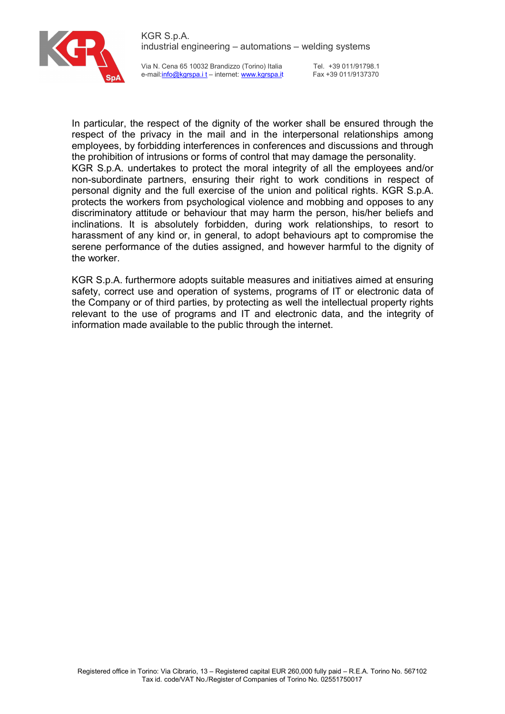

Tel. +39 011/91798.1 Fax +39 011/9137370

In particular, the respect of the dignity of the worker shall be ensured through the respect of the privacy in the mail and in the interpersonal relationships among employees, by forbidding interferences in conferences and discussions and through the prohibition of intrusions or forms of control that may damage the personality. KGR S.p.A. undertakes to protect the moral integrity of all the employees and/or non-subordinate partners, ensuring their right to work conditions in respect of personal dignity and the full exercise of the union and political rights. KGR S.p.A. protects the workers from psychological violence and mobbing and opposes to any discriminatory attitude or behaviour that may harm the person, his/her beliefs and inclinations. It is absolutely forbidden, during work relationships, to resort to harassment of any kind or, in general, to adopt behaviours apt to compromise the serene performance of the duties assigned, and however harmful to the dignity of the worker.

KGR S.p.A. furthermore adopts suitable measures and initiatives aimed at ensuring safety, correct use and operation of systems, programs of IT or electronic data of the Company or of third parties, by protecting as well the intellectual property rights relevant to the use of programs and IT and electronic data, and the integrity of information made available to the public through the internet.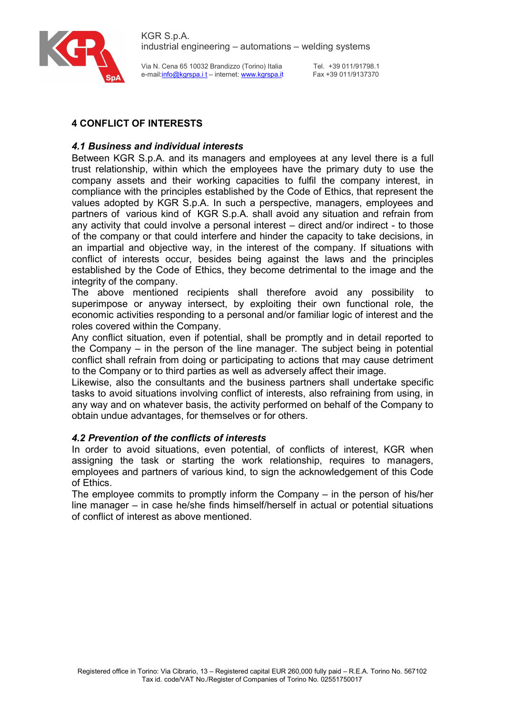

Tel. +39 011/91798.1 Fax +39 011/9137370

# 4 CONFLICT OF INTERESTS

# 4.1 Business and individual interests

Between KGR S.p.A. and its managers and employees at any level there is a full trust relationship, within which the employees have the primary duty to use the company assets and their working capacities to fulfil the company interest, in compliance with the principles established by the Code of Ethics, that represent the values adopted by KGR S.p.A. In such a perspective, managers, employees and partners of various kind of KGR S.p.A. shall avoid any situation and refrain from any activity that could involve a personal interest – direct and/or indirect - to those of the company or that could interfere and hinder the capacity to take decisions, in an impartial and objective way, in the interest of the company. If situations with conflict of interests occur, besides being against the laws and the principles established by the Code of Ethics, they become detrimental to the image and the integrity of the company.

The above mentioned recipients shall therefore avoid any possibility to superimpose or anyway intersect, by exploiting their own functional role, the economic activities responding to a personal and/or familiar logic of interest and the roles covered within the Company.

Any conflict situation, even if potential, shall be promptly and in detail reported to the Company – in the person of the line manager. The subject being in potential conflict shall refrain from doing or participating to actions that may cause detriment to the Company or to third parties as well as adversely affect their image.

Likewise, also the consultants and the business partners shall undertake specific tasks to avoid situations involving conflict of interests, also refraining from using, in any way and on whatever basis, the activity performed on behalf of the Company to obtain undue advantages, for themselves or for others.

## 4.2 Prevention of the conflicts of interests

In order to avoid situations, even potential, of conflicts of interest, KGR when assigning the task or starting the work relationship, requires to managers, employees and partners of various kind, to sign the acknowledgement of this Code of Ethics.

The employee commits to promptly inform the Company – in the person of his/her line manager – in case he/she finds himself/herself in actual or potential situations of conflict of interest as above mentioned.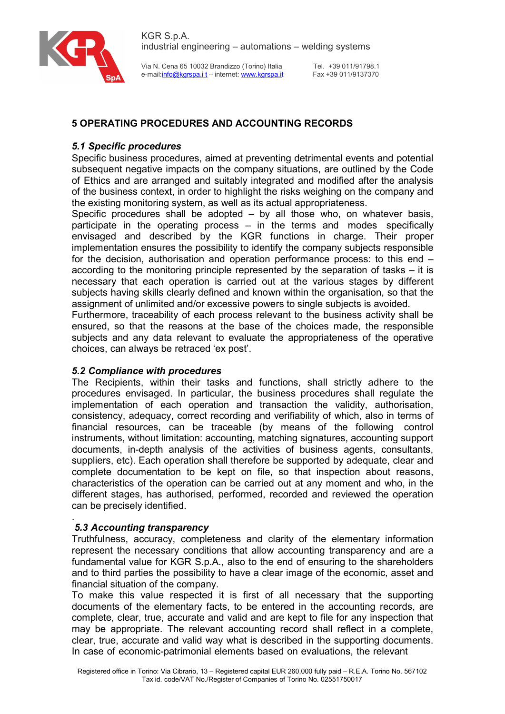



Tel. +39 011/91798.1 Fax +39 011/9137370

# 5 OPERATING PROCEDURES AND ACCOUNTING RECORDS

## 5.1 Specific procedures

Specific business procedures, aimed at preventing detrimental events and potential subsequent negative impacts on the company situations, are outlined by the Code of Ethics and are arranged and suitably integrated and modified after the analysis of the business context, in order to highlight the risks weighing on the company and the existing monitoring system, as well as its actual appropriateness.

Specific procedures shall be adopted – by all those who, on whatever basis, participate in the operating process – in the terms and modes specifically envisaged and described by the KGR functions in charge. Their proper implementation ensures the possibility to identify the company subjects responsible for the decision, authorisation and operation performance process: to this end – according to the monitoring principle represented by the separation of tasks – it is necessary that each operation is carried out at the various stages by different subjects having skills clearly defined and known within the organisation, so that the assignment of unlimited and/or excessive powers to single subjects is avoided.

Furthermore, traceability of each process relevant to the business activity shall be ensured, so that the reasons at the base of the choices made, the responsible subjects and any data relevant to evaluate the appropriateness of the operative choices, can always be retraced 'ex post'.

#### 5.2 Compliance with procedures

The Recipients, within their tasks and functions, shall strictly adhere to the procedures envisaged. In particular, the business procedures shall regulate the implementation of each operation and transaction the validity, authorisation, consistency, adequacy, correct recording and verifiability of which, also in terms of financial resources, can be traceable (by means of the following control instruments, without limitation: accounting, matching signatures, accounting support documents, in-depth analysis of the activities of business agents, consultants, suppliers, etc). Each operation shall therefore be supported by adequate, clear and complete documentation to be kept on file, so that inspection about reasons, characteristics of the operation can be carried out at any moment and who, in the different stages, has authorised, performed, recorded and reviewed the operation can be precisely identified.

#### . 5.3 Accounting transparency

Truthfulness, accuracy, completeness and clarity of the elementary information represent the necessary conditions that allow accounting transparency and are a fundamental value for KGR S.p.A., also to the end of ensuring to the shareholders and to third parties the possibility to have a clear image of the economic, asset and financial situation of the company.

To make this value respected it is first of all necessary that the supporting documents of the elementary facts, to be entered in the accounting records, are complete, clear, true, accurate and valid and are kept to file for any inspection that may be appropriate. The relevant accounting record shall reflect in a complete, clear, true, accurate and valid way what is described in the supporting documents. In case of economic-patrimonial elements based on evaluations, the relevant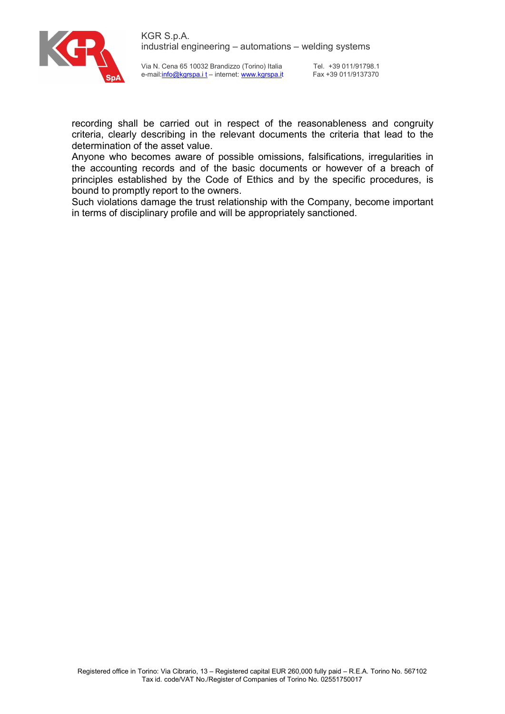

Tel. +39 011/91798.1 Fax +39 011/9137370

recording shall be carried out in respect of the reasonableness and congruity criteria, clearly describing in the relevant documents the criteria that lead to the determination of the asset value.

Anyone who becomes aware of possible omissions, falsifications, irregularities in the accounting records and of the basic documents or however of a breach of principles established by the Code of Ethics and by the specific procedures, is bound to promptly report to the owners.

Such violations damage the trust relationship with the Company, become important in terms of disciplinary profile and will be appropriately sanctioned.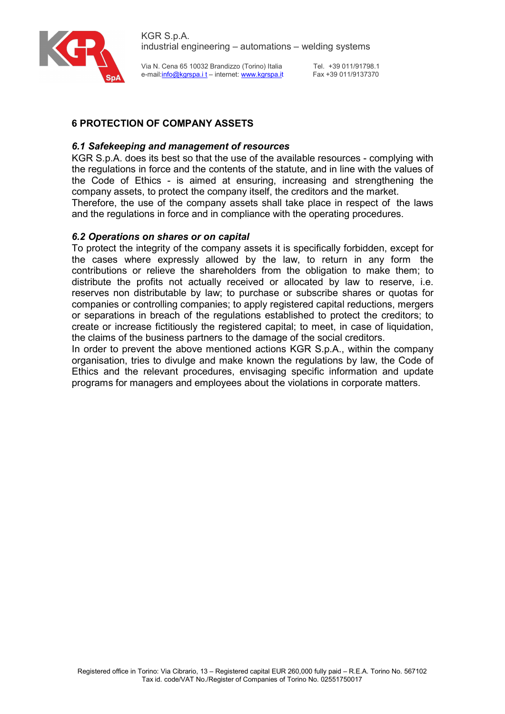

Tel. +39 011/91798.1 Fax +39 011/9137370

# 6 PROTECTION OF COMPANY ASSETS

## 6.1 Safekeeping and management of resources

KGR S.p.A. does its best so that the use of the available resources - complying with the regulations in force and the contents of the statute, and in line with the values of the Code of Ethics - is aimed at ensuring, increasing and strengthening the company assets, to protect the company itself, the creditors and the market. Therefore, the use of the company assets shall take place in respect of the laws and the regulations in force and in compliance with the operating procedures.

#### 6.2 Operations on shares or on capital

To protect the integrity of the company assets it is specifically forbidden, except for the cases where expressly allowed by the law, to return in any form the contributions or relieve the shareholders from the obligation to make them; to distribute the profits not actually received or allocated by law to reserve, i.e. reserves non distributable by law; to purchase or subscribe shares or quotas for companies or controlling companies; to apply registered capital reductions, mergers or separations in breach of the regulations established to protect the creditors; to create or increase fictitiously the registered capital; to meet, in case of liquidation, the claims of the business partners to the damage of the social creditors.

In order to prevent the above mentioned actions KGR S.p.A., within the company organisation, tries to divulge and make known the regulations by law, the Code of Ethics and the relevant procedures, envisaging specific information and update programs for managers and employees about the violations in corporate matters.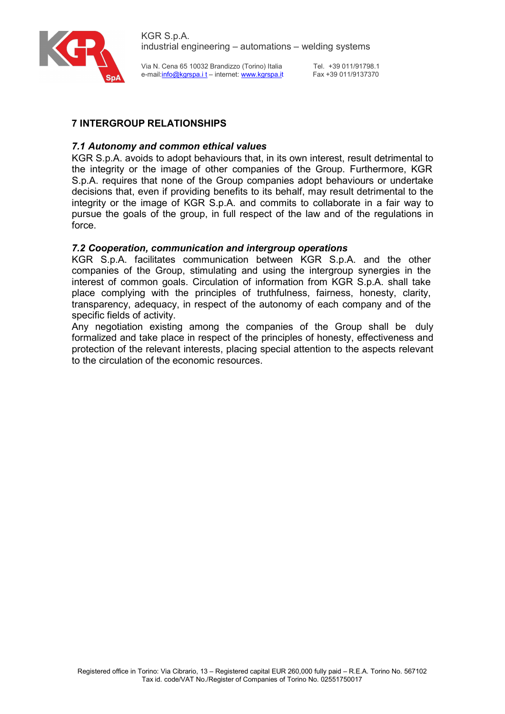

Tel. +39 011/91798.1 Fax +39 011/9137370

# 7 INTERGROUP RELATIONSHIPS

## 7.1 Autonomy and common ethical values

KGR S.p.A. avoids to adopt behaviours that, in its own interest, result detrimental to the integrity or the image of other companies of the Group. Furthermore, KGR S.p.A. requires that none of the Group companies adopt behaviours or undertake decisions that, even if providing benefits to its behalf, may result detrimental to the integrity or the image of KGR S.p.A. and commits to collaborate in a fair way to pursue the goals of the group, in full respect of the law and of the regulations in force.

## 7.2 Cooperation, communication and intergroup operations

KGR S.p.A. facilitates communication between KGR S.p.A. and the other companies of the Group, stimulating and using the intergroup synergies in the interest of common goals. Circulation of information from KGR S.p.A. shall take place complying with the principles of truthfulness, fairness, honesty, clarity, transparency, adequacy, in respect of the autonomy of each company and of the specific fields of activity.

Any negotiation existing among the companies of the Group shall be duly formalized and take place in respect of the principles of honesty, effectiveness and protection of the relevant interests, placing special attention to the aspects relevant to the circulation of the economic resources.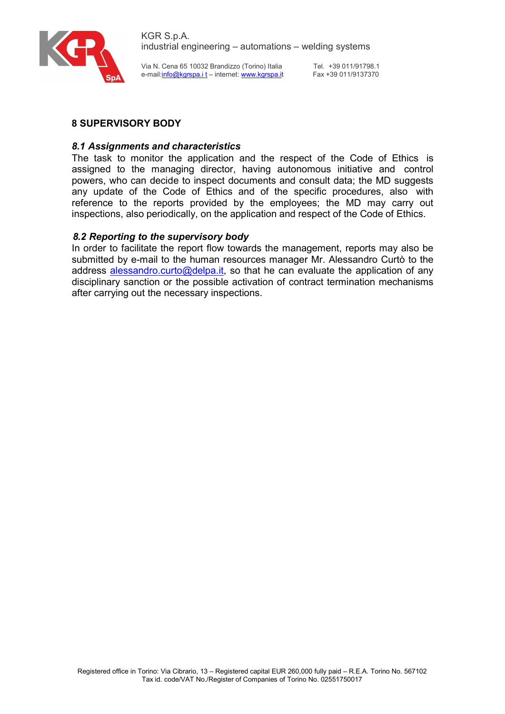

Tel. +39 011/91798.1 Fax +39 011/9137370

# 8 SUPERVISORY BODY

## 8.1 Assignments and characteristics

The task to monitor the application and the respect of the Code of Ethics is assigned to the managing director, having autonomous initiative and control powers, who can decide to inspect documents and consult data; the MD suggests any update of the Code of Ethics and of the specific procedures, also with reference to the reports provided by the employees; the MD may carry out inspections, also periodically, on the application and respect of the Code of Ethics.

## 8.2 Reporting to the supervisory body

In order to facilitate the report flow towards the management, reports may also be submitted by e-mail to the human resources manager Mr. Alessandro Curtò to the address alessandro.curto@delpa.it, so that he can evaluate the application of any disciplinary sanction or the possible activation of contract termination mechanisms after carrying out the necessary inspections.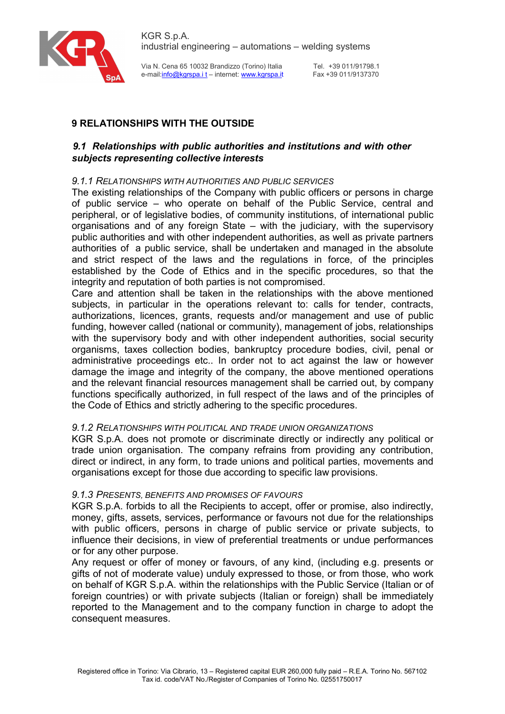

Tel. +39 011/91798.1 Fax +39 011/9137370

# 9 RELATIONSHIPS WITH THE OUTSIDE

## 9.1 Relationships with public authorities and institutions and with other subjects representing collective interests

## 9.1.1 RELATIONSHIPS WITH AUTHORITIES AND PUBLIC SERVICES

The existing relationships of the Company with public officers or persons in charge of public service – who operate on behalf of the Public Service, central and peripheral, or of legislative bodies, of community institutions, of international public organisations and of any foreign State – with the judiciary, with the supervisory public authorities and with other independent authorities, as well as private partners authorities of a public service, shall be undertaken and managed in the absolute and strict respect of the laws and the regulations in force, of the principles established by the Code of Ethics and in the specific procedures, so that the integrity and reputation of both parties is not compromised.

Care and attention shall be taken in the relationships with the above mentioned subjects, in particular in the operations relevant to: calls for tender, contracts, authorizations, licences, grants, requests and/or management and use of public funding, however called (national or community), management of jobs, relationships with the supervisory body and with other independent authorities, social security organisms, taxes collection bodies, bankruptcy procedure bodies, civil, penal or administrative proceedings etc.. In order not to act against the law or however damage the image and integrity of the company, the above mentioned operations and the relevant financial resources management shall be carried out, by company functions specifically authorized, in full respect of the laws and of the principles of the Code of Ethics and strictly adhering to the specific procedures.

## 9.1.2 RELATIONSHIPS WITH POLITICAL AND TRADE UNION ORGANIZATIONS

KGR S.p.A. does not promote or discriminate directly or indirectly any political or trade union organisation. The company refrains from providing any contribution, direct or indirect, in any form, to trade unions and political parties, movements and organisations except for those due according to specific law provisions.

## 9.1.3 PRESENTS, BENEFITS AND PROMISES OF FAVOURS

KGR S.p.A. forbids to all the Recipients to accept, offer or promise, also indirectly, money, gifts, assets, services, performance or favours not due for the relationships with public officers, persons in charge of public service or private subjects, to influence their decisions, in view of preferential treatments or undue performances or for any other purpose.

Any request or offer of money or favours, of any kind, (including e.g. presents or gifts of not of moderate value) unduly expressed to those, or from those, who work on behalf of KGR S.p.A. within the relationships with the Public Service (Italian or of foreign countries) or with private subjects (Italian or foreign) shall be immediately reported to the Management and to the company function in charge to adopt the consequent measures.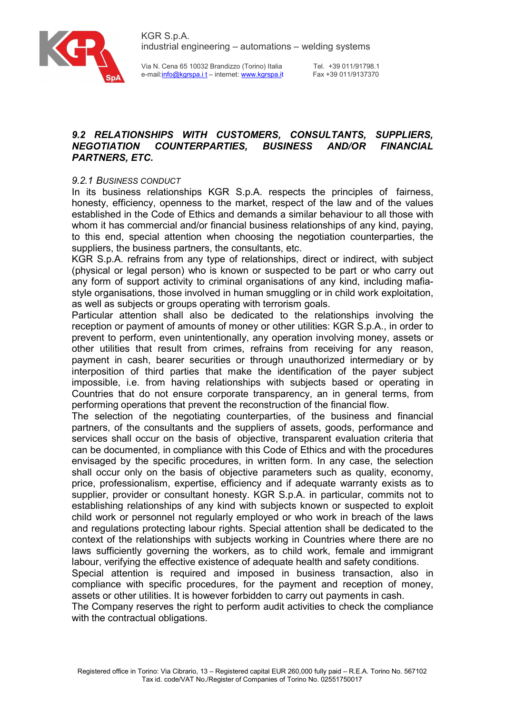

Via N. Cena 65 10032 Brandizzo (Torino) Italia e-mail:info@kgrspa.i t – internet: www.kgrspa.it

Tel. +39 011/91798.1 Fax +39 011/9137370

# 9.2 RELATIONSHIPS WITH CUSTOMERS, CONSULTANTS, SUPPLIERS, NEGOTIATION COUNTERPARTIES, BUSINESS AND/OR FINANCIAL PARTNERS, ETC.

## 9.2.1 BUSINESS CONDUCT

In its business relationships KGR S.p.A. respects the principles of fairness, honesty, efficiency, openness to the market, respect of the law and of the values established in the Code of Ethics and demands a similar behaviour to all those with whom it has commercial and/or financial business relationships of any kind, paying, to this end, special attention when choosing the negotiation counterparties, the suppliers, the business partners, the consultants, etc.

KGR S.p.A. refrains from any type of relationships, direct or indirect, with subject (physical or legal person) who is known or suspected to be part or who carry out any form of support activity to criminal organisations of any kind, including mafiastyle organisations, those involved in human smuggling or in child work exploitation, as well as subjects or groups operating with terrorism goals.

Particular attention shall also be dedicated to the relationships involving the reception or payment of amounts of money or other utilities: KGR S.p.A., in order to prevent to perform, even unintentionally, any operation involving money, assets or other utilities that result from crimes, refrains from receiving for any reason, payment in cash, bearer securities or through unauthorized intermediary or by interposition of third parties that make the identification of the payer subject impossible, i.e. from having relationships with subjects based or operating in Countries that do not ensure corporate transparency, an in general terms, from performing operations that prevent the reconstruction of the financial flow.

The selection of the negotiating counterparties, of the business and financial partners, of the consultants and the suppliers of assets, goods, performance and services shall occur on the basis of objective, transparent evaluation criteria that can be documented, in compliance with this Code of Ethics and with the procedures envisaged by the specific procedures, in written form. In any case, the selection shall occur only on the basis of objective parameters such as quality, economy, price, professionalism, expertise, efficiency and if adequate warranty exists as to supplier, provider or consultant honesty. KGR S.p.A. in particular, commits not to establishing relationships of any kind with subjects known or suspected to exploit child work or personnel not regularly employed or who work in breach of the laws and regulations protecting labour rights. Special attention shall be dedicated to the context of the relationships with subjects working in Countries where there are no laws sufficiently governing the workers, as to child work, female and immigrant labour, verifying the effective existence of adequate health and safety conditions.

Special attention is required and imposed in business transaction, also in compliance with specific procedures, for the payment and reception of money, assets or other utilities. It is however forbidden to carry out payments in cash.

The Company reserves the right to perform audit activities to check the compliance with the contractual obligations.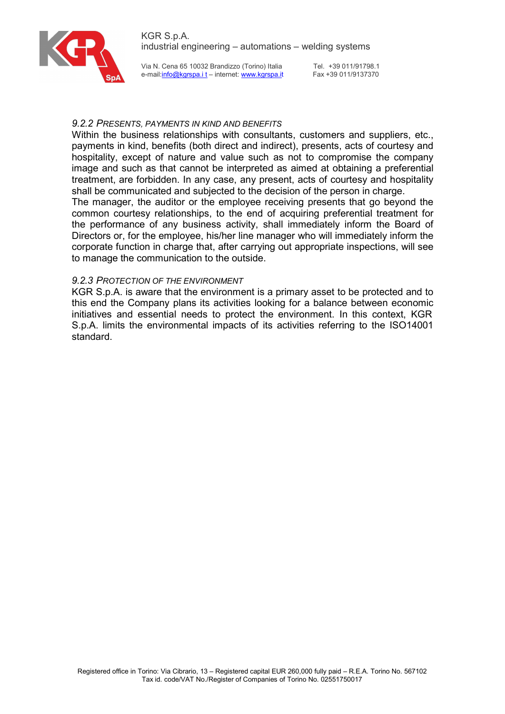

Via N. Cena 65 10032 Brandizzo (Torino) Italia e-mail:info@kgrspa.i t – internet: www.kgrspa.it

Tel. +39 011/91798.1 Fax +39 011/9137370

#### 9.2.2 PRESENTS, PAYMENTS IN KIND AND BENEFITS

Within the business relationships with consultants, customers and suppliers, etc., payments in kind, benefits (both direct and indirect), presents, acts of courtesy and hospitality, except of nature and value such as not to compromise the company image and such as that cannot be interpreted as aimed at obtaining a preferential treatment, are forbidden. In any case, any present, acts of courtesy and hospitality shall be communicated and subjected to the decision of the person in charge.

The manager, the auditor or the employee receiving presents that go beyond the common courtesy relationships, to the end of acquiring preferential treatment for the performance of any business activity, shall immediately inform the Board of Directors or, for the employee, his/her line manager who will immediately inform the corporate function in charge that, after carrying out appropriate inspections, will see to manage the communication to the outside.

#### 9.2.3 PROTECTION OF THE ENVIRONMENT

KGR S.p.A. is aware that the environment is a primary asset to be protected and to this end the Company plans its activities looking for a balance between economic initiatives and essential needs to protect the environment. In this context, KGR S.p.A. limits the environmental impacts of its activities referring to the ISO14001 standard.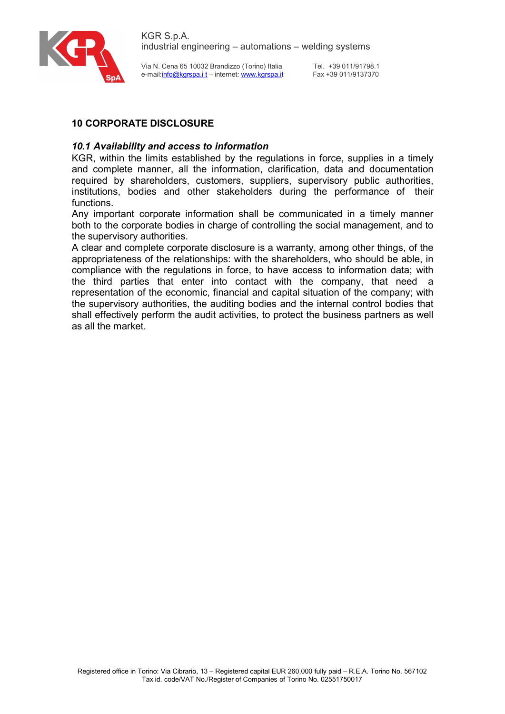

Tel. +39 011/91798.1 Fax +39 011/9137370

# 10 CORPORATE DISCLOSURE

## 10.1 Availability and access to information

KGR, within the limits established by the regulations in force, supplies in a timely and complete manner, all the information, clarification, data and documentation required by shareholders, customers, suppliers, supervisory public authorities, institutions, bodies and other stakeholders during the performance of their functions.

Any important corporate information shall be communicated in a timely manner both to the corporate bodies in charge of controlling the social management, and to the supervisory authorities.

A clear and complete corporate disclosure is a warranty, among other things, of the appropriateness of the relationships: with the shareholders, who should be able, in compliance with the regulations in force, to have access to information data; with the third parties that enter into contact with the company, that need a representation of the economic, financial and capital situation of the company; with the supervisory authorities, the auditing bodies and the internal control bodies that shall effectively perform the audit activities, to protect the business partners as well as all the market.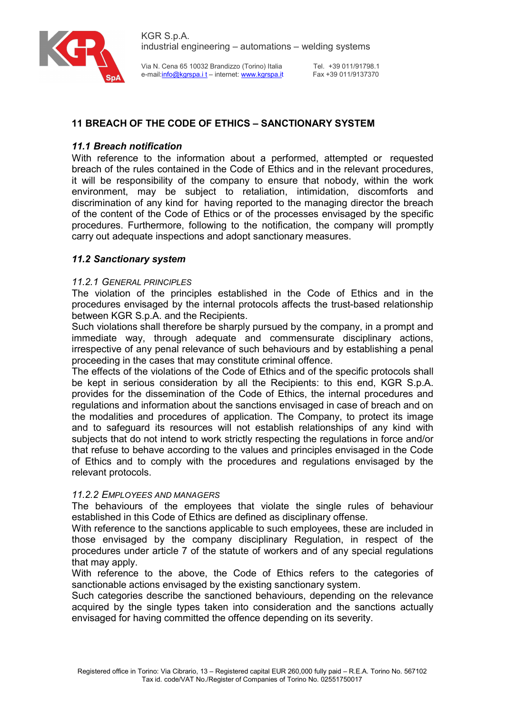



Tel. +39 011/91798.1 Fax +39 011/9137370

# 11 BREACH OF THE CODE OF ETHICS – SANCTIONARY SYSTEM

## 11.1 Breach notification

With reference to the information about a performed, attempted or requested breach of the rules contained in the Code of Ethics and in the relevant procedures, it will be responsibility of the company to ensure that nobody, within the work environment, may be subject to retaliation, intimidation, discomforts and discrimination of any kind for having reported to the managing director the breach of the content of the Code of Ethics or of the processes envisaged by the specific procedures. Furthermore, following to the notification, the company will promptly carry out adequate inspections and adopt sanctionary measures.

## 11.2 Sanctionary system

#### 11.2.1 GENERAL PRINCIPLES

The violation of the principles established in the Code of Ethics and in the procedures envisaged by the internal protocols affects the trust-based relationship between KGR S.p.A. and the Recipients.

Such violations shall therefore be sharply pursued by the company, in a prompt and immediate way, through adequate and commensurate disciplinary actions, irrespective of any penal relevance of such behaviours and by establishing a penal proceeding in the cases that may constitute criminal offence.

The effects of the violations of the Code of Ethics and of the specific protocols shall be kept in serious consideration by all the Recipients: to this end, KGR S.p.A. provides for the dissemination of the Code of Ethics, the internal procedures and regulations and information about the sanctions envisaged in case of breach and on the modalities and procedures of application. The Company, to protect its image and to safeguard its resources will not establish relationships of any kind with subjects that do not intend to work strictly respecting the regulations in force and/or that refuse to behave according to the values and principles envisaged in the Code of Ethics and to comply with the procedures and regulations envisaged by the relevant protocols.

#### 11.2.2 EMPLOYEES AND MANAGERS

The behaviours of the employees that violate the single rules of behaviour established in this Code of Ethics are defined as disciplinary offense.

With reference to the sanctions applicable to such employees, these are included in those envisaged by the company disciplinary Regulation, in respect of the procedures under article 7 of the statute of workers and of any special regulations that may apply.

With reference to the above, the Code of Ethics refers to the categories of sanctionable actions envisaged by the existing sanctionary system.

Such categories describe the sanctioned behaviours, depending on the relevance acquired by the single types taken into consideration and the sanctions actually envisaged for having committed the offence depending on its severity.